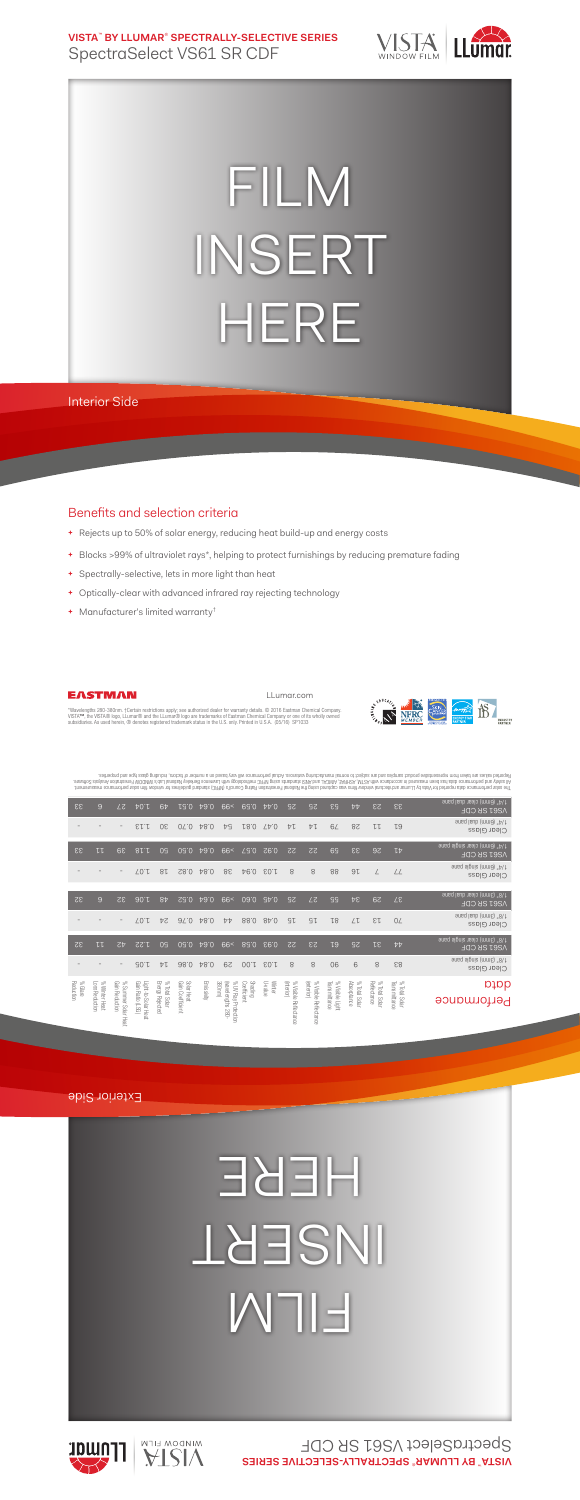**VISTA**™  **BY LLUMAR**®  **SPECTRALLY-SELECTIVE SERIES** SpectraSelect VS61 SR CDF



## FILM INSERT HERE

Interior Side

## Benefits and selection criteria

- **+** Rejects up to 50% of solar energy, reducing heat build-up and energy costs
- **+** Blocks >99% of ultraviolet rays\*, helping to protect furnishings by reducing premature fading

LLumar.com

- **+** Spectrally-selective, lets in more light than heat
- **+** Optically-clear with advanced infrared ray rejecting technology
- **+** Manufacturer's limited warranty†



EASTMAN

"Wavelengths 280-380nm. †Certain restrictions apply; see authorized dealer for warranty details. © 2016 Eastman Chemical Company.<br>VISTA™, the VISTA® logo, LLumar® and the LLumar® logo are trademarks of Eastman Chemical Com